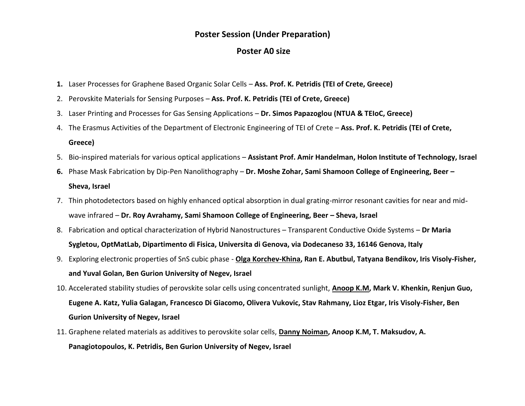## **Poster Session (Under Preparation)**

## **Poster A0 size**

- **1.** Laser Processes for Graphene Based Organic Solar Cells **Ass. Prof. K. Petridis (TEI of Crete, Greece)**
- 2. Perovskite Materials for Sensing Purposes **Ass. Prof. K. Petridis (TEI of Crete, Greece)**
- 3. Laser Printing and Processes for Gas Sensing Applications **Dr. Simos Papazoglou (NTUA & TEIoC, Greece)**
- 4. The Erasmus Activities of the Department of Electronic Engineering of TEI of Crete **Ass. Prof. K. Petridis (TEI of Crete,**

## **Greece)**

- 5. Bio-inspired materials for various optical applications **Assistant Prof. Amir Handelman, Holon Institute of Technology, Israel**
- **6.** Phase Mask Fabrication by Dip-Pen Nanolithography **Dr. Moshe Zohar, Sami Shamoon College of Engineering, Beer – Sheva, Israel**
- 7. Thin photodetectors based on highly enhanced optical absorption in dual grating-mirror resonant cavities for near and midwave infrared – **Dr. Roy Avrahamy, Sami Shamoon College of Engineering, Beer – Sheva, Israel**
- 8. Fabrication and optical characterization of Hybrid Nanostructures Transparent Conductive Oxide Systems **Dr Maria Sygletou, OptMatLab, Dipartimento di Fisica, Universita di Genova, via Dodecaneso 33, 16146 Genova, Italy**
- 9. Exploring electronic properties of SnS cubic phase **Olga Korchev-Khina, Ran E. Abutbul, Tatyana Bendikov, Iris Visoly-Fisher, and Yuval Golan, Ben Gurion University of Negev, Israel**
- 10. Accelerated stability studies of perovskite solar cells using concentrated sunlight, **Anoop K.M, Mark V. Khenkin, Renjun Guo, Eugene A. Katz, Yulia Galagan, Francesco Di Giacomo, Olivera Vukovic, Stav Rahmany, Lioz Etgar, Iris Visoly-Fisher, Ben Gurion University of Negev, Israel**
- 11. Graphene related materials as additives to perovskite solar cells, **Danny Noiman, Anoop K.M, T. Maksudov, A. Panagiotopoulos, K. Petridis, Ben Gurion University of Negev, Israel**